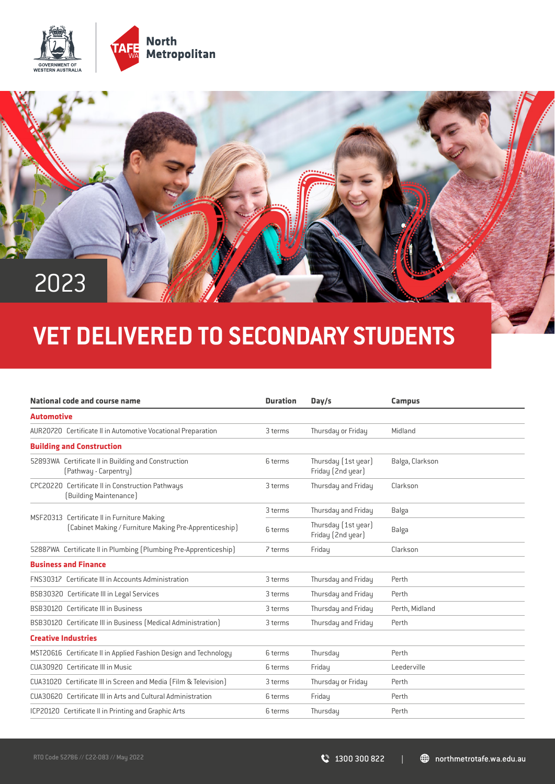



## **VET DELIVERED TO SECONDARY STUDENTS**

| <b>Automotive</b><br>AUR20720 Certificate II in Automotive Vocational Preparation<br>Thursday or Friday<br>Midland<br>3 terms<br><b>Building and Construction</b><br>52893WA Certificate II in Building and Construction<br>Thursday (1st year)<br>Balga, Clarkson<br>6 terms<br>Friday (2nd year)<br>[Pathway - Carpentry]<br>CPC20220 Certificate II in Construction Pathways<br>Thursday and Friday<br>3 terms<br>Clarkson<br>[Building Maintenance]<br>Thursday and Friday<br>3 terms<br>Balga<br>MSF20313 Certificate II in Furniture Making<br>Thursday (1st year)<br>[Cabinet Making / Furniture Making Pre-Apprenticeship]<br>Balga<br>6 terms<br>Friday (2nd year)<br>52887WA Certificate II in Plumbing (Plumbing Pre-Apprenticeship)<br>Friday<br>Clarkson<br>7 terms<br><b>Business and Finance</b><br><b>FNS30317</b> Certificate III in Accounts Administration<br>Thursday and Friday<br>3 terms<br>Perth<br>BSB30320 Certificate III in Legal Services<br>3 terms<br>Thursday and Friday<br>Perth |
|-------------------------------------------------------------------------------------------------------------------------------------------------------------------------------------------------------------------------------------------------------------------------------------------------------------------------------------------------------------------------------------------------------------------------------------------------------------------------------------------------------------------------------------------------------------------------------------------------------------------------------------------------------------------------------------------------------------------------------------------------------------------------------------------------------------------------------------------------------------------------------------------------------------------------------------------------------------------------------------------------------------------|
|                                                                                                                                                                                                                                                                                                                                                                                                                                                                                                                                                                                                                                                                                                                                                                                                                                                                                                                                                                                                                   |
|                                                                                                                                                                                                                                                                                                                                                                                                                                                                                                                                                                                                                                                                                                                                                                                                                                                                                                                                                                                                                   |
|                                                                                                                                                                                                                                                                                                                                                                                                                                                                                                                                                                                                                                                                                                                                                                                                                                                                                                                                                                                                                   |
|                                                                                                                                                                                                                                                                                                                                                                                                                                                                                                                                                                                                                                                                                                                                                                                                                                                                                                                                                                                                                   |
|                                                                                                                                                                                                                                                                                                                                                                                                                                                                                                                                                                                                                                                                                                                                                                                                                                                                                                                                                                                                                   |
|                                                                                                                                                                                                                                                                                                                                                                                                                                                                                                                                                                                                                                                                                                                                                                                                                                                                                                                                                                                                                   |
|                                                                                                                                                                                                                                                                                                                                                                                                                                                                                                                                                                                                                                                                                                                                                                                                                                                                                                                                                                                                                   |
|                                                                                                                                                                                                                                                                                                                                                                                                                                                                                                                                                                                                                                                                                                                                                                                                                                                                                                                                                                                                                   |
|                                                                                                                                                                                                                                                                                                                                                                                                                                                                                                                                                                                                                                                                                                                                                                                                                                                                                                                                                                                                                   |
|                                                                                                                                                                                                                                                                                                                                                                                                                                                                                                                                                                                                                                                                                                                                                                                                                                                                                                                                                                                                                   |
|                                                                                                                                                                                                                                                                                                                                                                                                                                                                                                                                                                                                                                                                                                                                                                                                                                                                                                                                                                                                                   |
| BSB30120 Certificate III in Business<br>Thursday and Friday<br>Perth, Midland<br>3 terms                                                                                                                                                                                                                                                                                                                                                                                                                                                                                                                                                                                                                                                                                                                                                                                                                                                                                                                          |
| BSB30120 Certificate III in Business (Medical Administration)<br>Thursday and Friday<br>3 terms<br>Perth                                                                                                                                                                                                                                                                                                                                                                                                                                                                                                                                                                                                                                                                                                                                                                                                                                                                                                          |
| <b>Creative Industries</b>                                                                                                                                                                                                                                                                                                                                                                                                                                                                                                                                                                                                                                                                                                                                                                                                                                                                                                                                                                                        |
| MST20616 Certificate II in Applied Fashion Design and Technology<br>Thursday<br>Perth<br>6 terms                                                                                                                                                                                                                                                                                                                                                                                                                                                                                                                                                                                                                                                                                                                                                                                                                                                                                                                  |
| CUA30920 Certificate III in Music<br>6 terms<br>Friday<br>Leederville                                                                                                                                                                                                                                                                                                                                                                                                                                                                                                                                                                                                                                                                                                                                                                                                                                                                                                                                             |
| CUA31020 Certificate III in Screen and Media (Film & Television)<br>Thursday or Friday<br>3 terms<br>Perth                                                                                                                                                                                                                                                                                                                                                                                                                                                                                                                                                                                                                                                                                                                                                                                                                                                                                                        |
| CUA30620 Certificate III in Arts and Cultural Administration<br>Friday<br>6 terms<br>Perth                                                                                                                                                                                                                                                                                                                                                                                                                                                                                                                                                                                                                                                                                                                                                                                                                                                                                                                        |
| ICP20120 Certificate II in Printing and Graphic Arts<br>6 terms<br>Thursday<br>Perth                                                                                                                                                                                                                                                                                                                                                                                                                                                                                                                                                                                                                                                                                                                                                                                                                                                                                                                              |